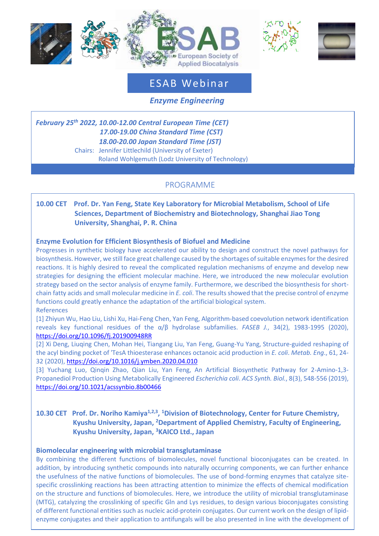





# ESAB Webinar

 *Enzyme Engineering*

*February 25 th 2022, 10.00-12.00 Central European Time (CET) 17.00-19.00 China Standard Time (CST) 18.00-20.00 Japan Standard Time (JST)* Chairs: Jennifer Littlechild (University of Exeter) Roland Wohlgemuth (Lodz University of Technology)

## PROGRAMME

### **10.00 CET Prof. Dr. Yan Feng, State Key Laboratory for Microbial Metabolism, School of Life Sciences, Department of Biochemistry and Biotechnology, Shanghai Jiao Tong University, Shanghai, P. R. China**

#### **Enzyme Evolution for Efficient Biosynthesis of Biofuel and Medicine**

Progresses in synthetic biology have accelerated our ability to design and construct the novel pathways for biosynthesis. However, we still face great challenge caused by the shortages of suitable enzymes for the desired reactions. It is highly desired to reveal the complicated regulation mechanisms of enzyme and develop new strategies for designing the efficient molecular machine. Here, we introduced the new molecular evolution strategy based on the sector analysis of enzyme family. Furthermore, we described the biosynthesis for shortchain fatty acids and small molecular medicine in *E. coli*. The results showed that the precise control of enzyme functions could greatly enhance the adaptation of the artificial biological system.

#### References

[1] Zhiyun Wu, Hao Liu, Lishi Xu, Hai-Feng Chen, Yan Feng, Algorithm-based coevolution network identification reveals key functional residues of the α/β hydrolase subfamilies. *FASEB J.*, 34(2), 1983-1995 (2020), <https://doi.org/10.1096/fj.201900948RR>

[2] Xi Deng, Liuqing Chen, Mohan Hei, Tiangang Liu, Yan Feng, Guang-Yu Yang, Structure-guided reshaping of the acyl binding pocket of 'TesA thioesterase enhances octanoic acid production in *E. coli*. *Metab. Eng*., 61, 24- 32 (2020)[, https://doi.org/10.1016/j.ymben.2020.04.010](https://doi.org/10.1016/j.ymben.2020.04.010)

[3] Yuchang Luo, Qinqin Zhao, Qian Liu, Yan Feng, An Artificial Biosynthetic Pathway for 2-Amino-1,3- Propanediol Production Using Metabolically Engineered *Escherichia coli*. *ACS Synth. Biol.*, 8(3), 548-556 (2019), <https://doi.org/10.1021/acssynbio.8b00466>

#### 10.30 CET Prof. Dr. Noriho Kamiya<sup>1,2,3</sup>, <sup>1</sup>Division of Biotechnology, Center for Future Chemistry,  **Kyushu University, Japan, <sup>2</sup>Department of Applied Chemistry, Faculty of Engineering, Kyushu University, Japan, <sup>3</sup>KAICO Ltd., Japan**

#### **Biomolecular engineering with microbial transglutaminase**

a facile method for the preparation of lipid-protein conjugates using  $\mathcal{M}(T)$ 

By combining the different functions of biomolecules, novel functional bioconjugates can be created. In addition, by introducing synthetic compounds into naturally occurring components, we can further enhance the usefulness of the native functions of biomolecules. The use of bond-forming enzymes that catalyze sitespecific crosslinking reactions has been attracting attention to minimize the effects of chemical modification on the structure and functions of biomolecules. Here, we introduce the utility of microbial transglutaminase (MTG), catalyzing the crosslinking of specific Gln and Lys residues, to design various bioconjugates consisting of different functional entities such as nucleic acid-protein conjugates. Our current work on the design of lipidenzyme conjugates and their application to antifungals will be also presented in line with the development of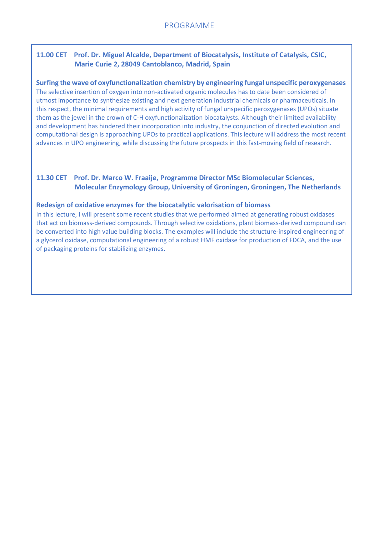### **11.00 CET Prof. Dr. Miguel Alcalde, Department of Biocatalysis, Institute of Catalysis, CSIC, Marie Curie 2, 28049 Cantoblanco, Madrid, Spain**

**Surfing the wave of oxyfunctionalization chemistry by engineering fungal unspecific peroxygenases**  The selective insertion of oxygen into non-activated organic molecules has to date been considered of utmost importance to synthesize existing and next generation industrial chemicals or pharmaceuticals. In this respect, the minimal requirements and high activity of fungal unspecific peroxygenases (UPOs) situate them as the jewel in the crown of C-H oxyfunctionalization biocatalysts. Although their limited availability and development has hindered their incorporation into industry, the conjunction of directed evolution and computational design is approaching UPOs to practical applications. This lecture will address the most recent advances in UPO engineering, while discussing the future prospects in this fast-moving field of research.

#### **11.30 CET Prof. Dr. Marco W. Fraaije, Programme Director MSc Biomolecular Sciences, Molecular Enzymology Group, University of Groningen, Groningen, The Netherlands**

#### **Redesign of oxidative enzymes for the biocatalytic valorisation of biomass**

In this lecture, I will present some recent studies that we performed aimed at generating robust oxidases that act on biomass-derived compounds. Through selective oxidations, plant biomass-derived compound can be converted into high value building blocks. The examples will include the structure-inspired engineering of a glycerol oxidase, computational engineering of a robust HMF oxidase for production of FDCA, and the use of packaging proteins for stabilizing enzymes.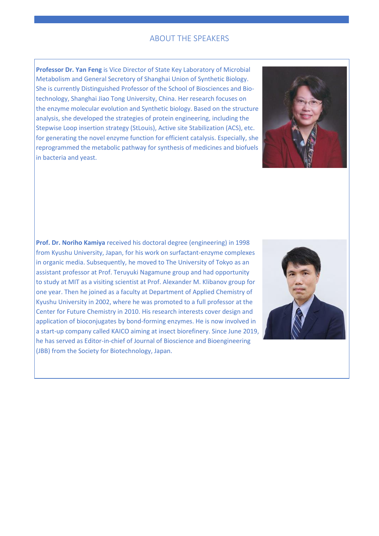#### ABOUT THE SPEAKERS

**Professor Dr. Yan Feng** is Vice Director of State Key Laboratory of Microbial Metabolism and General Secretory of Shanghai Union of Synthetic Biology. She is currently Distinguished Professor of the School of Biosciences and Biotechnology, Shanghai Jiao Tong University, China. Her research focuses on the enzyme molecular evolution and Synthetic biology. Based on the structure analysis, she developed the strategies of protein engineering, including the Stepwise Loop insertion strategy (StLouis), Active site Stabilization (ACS), etc. for generating the novel enzyme function for efficient catalysis. Especially, she reprogrammed the metabolic pathway for synthesis of medicines and biofuels in bacteria and yeast.



**Prof. Dr. Noriho Kamiya** received his doctoral degree (engineering) in 1998 from Kyushu University, Japan, for his work on surfactant-enzyme complexes in organic media. Subsequently, he moved to The University of Tokyo as an assistant professor at Prof. Teruyuki Nagamune group and had opportunity to study at MIT as a visiting scientist at Prof. Alexander M. Klibanov group for one year. Then he joined as a faculty at Department of Applied Chemistry of Kyushu University in 2002, where he was promoted to a full professor at the Center for Future Chemistry in 2010. His research interests cover design and application of bioconjugates by bond-forming enzymes. He is now involved in a start-up company called KAICO aiming at insect biorefinery. Since June 2019, he has served as Editor-in-chief of Journal of Bioscience and Bioengineering (JBB) from the Society for Biotechnology, Japan.